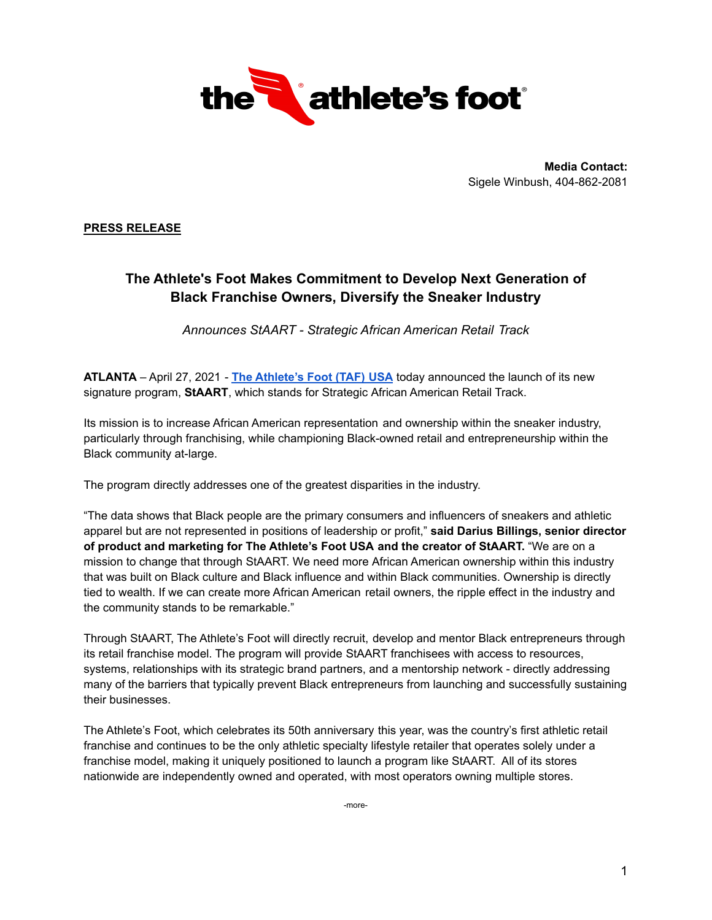

**Media Contact:** Sigele Winbush, 404-862-2081

**PRESS RELEASE**

## **The Athlete's Foot Makes Commitment to Develop Next Generation of Black Franchise Owners, Diversify the Sneaker Industry**

*Announces StAART - Strategic African American Retail Track*

**ATLANTA** – April 27, 2021 - **The [Athlete's](https://theathletesfoot.com/store-locator/) Foot (TAF) USA** today announced the launch of its new signature program, **StAART**, which stands for Strategic African American Retail Track.

Its mission is to increase African American representation and ownership within the sneaker industry, particularly through franchising, while championing Black-owned retail and entrepreneurship within the Black community at-large.

The program directly addresses one of the greatest disparities in the industry.

"The data shows that Black people are the primary consumers and influencers of sneakers and athletic apparel but are not represented in positions of leadership or profit," **said Darius Billings, senior director of product and marketing for The Athlete's Foot USA and the creator of StAART.** "We are on a mission to change that through StAART. We need more African American ownership within this industry that was built on Black culture and Black influence and within Black communities. Ownership is directly tied to wealth. If we can create more African American retail owners, the ripple effect in the industry and the community stands to be remarkable."

Through StAART, The Athlete's Foot will directly recruit, develop and mentor Black entrepreneurs through its retail franchise model. The program will provide StAART franchisees with access to resources, systems, relationships with its strategic brand partners, and a mentorship network - directly addressing many of the barriers that typically prevent Black entrepreneurs from launching and successfully sustaining their businesses.

The Athlete's Foot, which celebrates its 50th anniversary this year, was the country's first athletic retail franchise and continues to be the only athletic specialty lifestyle retailer that operates solely under a franchise model, making it uniquely positioned to launch a program like StAART. All of its stores nationwide are independently owned and operated, with most operators owning multiple stores.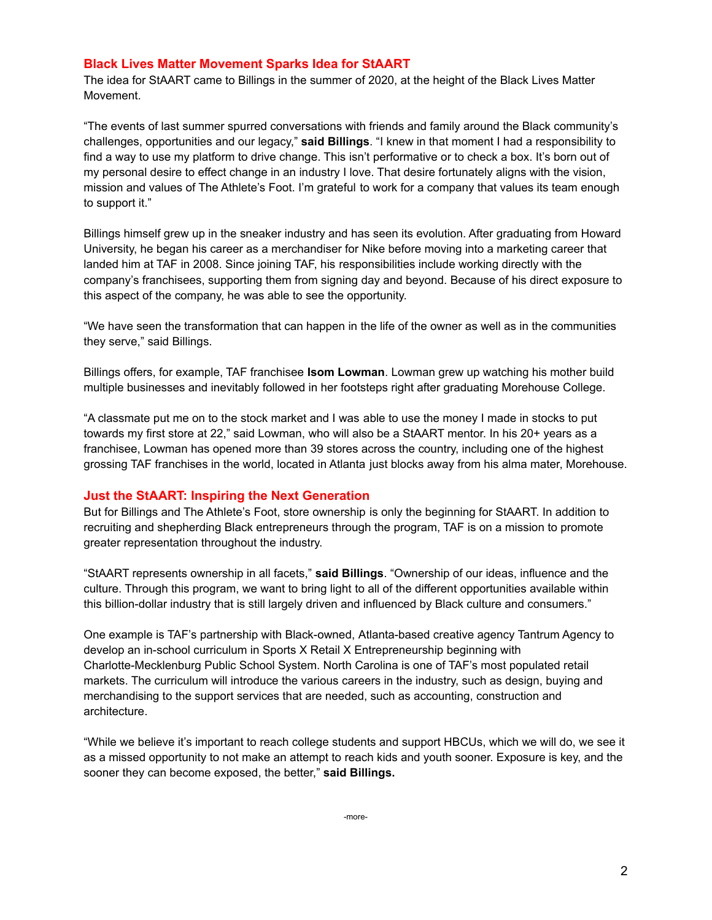## **Black Lives Matter Movement Sparks Idea for StAART**

The idea for StAART came to Billings in the summer of 2020, at the height of the Black Lives Matter Movement.

"The events of last summer spurred conversations with friends and family around the Black community's challenges, opportunities and our legacy," **said Billings**. "I knew in that moment I had a responsibility to find a way to use my platform to drive change. This isn't performative or to check a box. It's born out of my personal desire to effect change in an industry I love. That desire fortunately aligns with the vision, mission and values of The Athlete's Foot. I'm grateful to work for a company that values its team enough to support it."

Billings himself grew up in the sneaker industry and has seen its evolution. After graduating from Howard University, he began his career as a merchandiser for Nike before moving into a marketing career that landed him at TAF in 2008. Since joining TAF, his responsibilities include working directly with the company's franchisees, supporting them from signing day and beyond. Because of his direct exposure to this aspect of the company, he was able to see the opportunity.

"We have seen the transformation that can happen in the life of the owner as well as in the communities they serve," said Billings.

Billings offers, for example, TAF franchisee **Isom Lowman**. Lowman grew up watching his mother build multiple businesses and inevitably followed in her footsteps right after graduating Morehouse College.

"A classmate put me on to the stock market and I was able to use the money I made in stocks to put towards my first store at 22," said Lowman, who will also be a StAART mentor. In his 20+ years as a franchisee, Lowman has opened more than 39 stores across the country, including one of the highest grossing TAF franchises in the world, located in Atlanta just blocks away from his alma mater, Morehouse.

## **Just the StAART: Inspiring the Next Generation**

But for Billings and The Athlete's Foot, store ownership is only the beginning for StAART. In addition to recruiting and shepherding Black entrepreneurs through the program, TAF is on a mission to promote greater representation throughout the industry.

"StAART represents ownership in all facets," **said Billings**. "Ownership of our ideas, influence and the culture. Through this program, we want to bring light to all of the different opportunities available within this billion-dollar industry that is still largely driven and influenced by Black culture and consumers."

One example is TAF's partnership with Black-owned, Atlanta-based creative agency Tantrum Agency to develop an in-school curriculum in Sports X Retail X Entrepreneurship beginning with Charlotte-Mecklenburg Public School System. North Carolina is one of TAF's most populated retail markets. The curriculum will introduce the various careers in the industry, such as design, buying and merchandising to the support services that are needed, such as accounting, construction and architecture.

"While we believe it's important to reach college students and support HBCUs, which we will do, we see it as a missed opportunity to not make an attempt to reach kids and youth sooner. Exposure is key, and the sooner they can become exposed, the better," **said Billings.**